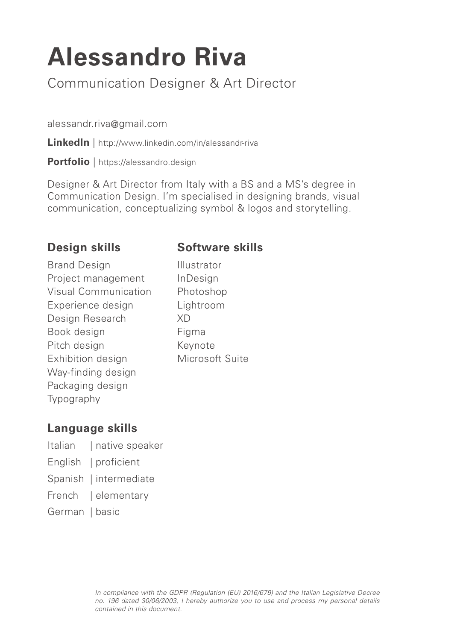# **Alessandro Riva**

Communication Designer & Art Director

alessandr.riva@gmail.com

**LinkedIn** | http://www.linkedin.com/in/alessandr-riva

**Portfolio** | https://alessandro.design

Designer & Art Director from Italy with a BS and a MS's degree in Communication Design. I'm specialised in designing brands, visual communication, conceptualizing symbol & logos and storytelling.

#### **Design skills**

#### **Software skills**

Brand Design Project management Visual Communication Experience design Design Research Book design Pitch design Exhibition design Way-finding design Packaging design Typography

Illustrator InDesign Photoshop Lightroom XD Figma Keynote Microsoft Suite

## **Language skills**

- Italian | native speaker
- English | proficient
- Spanish | intermediate
- French | elementary
- German | basic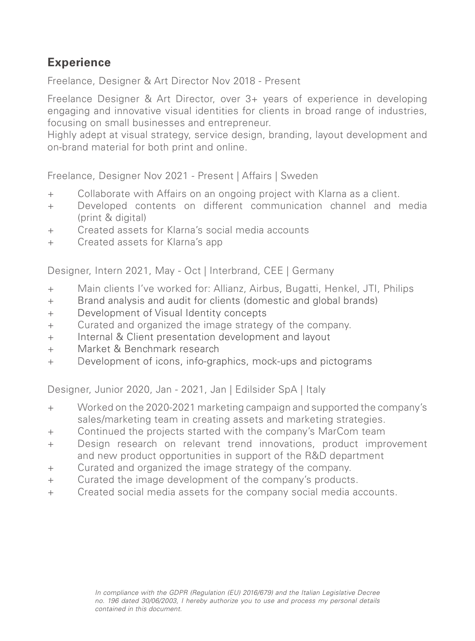## **Experience**

Freelance, Designer & Art Director Nov 2018 - Present

Freelance Designer & Art Director, over 3+ years of experience in developing engaging and innovative visual identities for clients in broad range of industries, focusing on small businesses and entrepreneur.

Highly adept at visual strategy, service design, branding, layout development and on-brand material for both print and online.

Freelance, Designer Nov 2021 - Present | Affairs | Sweden

- + Collaborate with Affairs on an ongoing project with Klarna as a client.
- + Developed contents on different communication channel and media (print & digital)
- + Created assets for Klarna's social media accounts
- + Created assets for Klarna's app

Designer, Intern 2021, May - Oct | Interbrand, CEE | Germany

- + Main clients I've worked for: Allianz, Airbus, Bugatti, Henkel, JTI, Philips
- + Brand analysis and audit for clients (domestic and global brands)
- + Development of Visual Identity concepts
- + Curated and organized the image strategy of the company.
- + Internal & Client presentation development and layout
- + Market & Benchmark research
- + Development of icons, info-graphics, mock-ups and pictograms

Designer, Junior 2020, Jan - 2021, Jan | Edilsider SpA | Italy

- + Worked on the 2020-2021 marketing campaign and supported the company's sales/marketing team in creating assets and marketing strategies.
- + Continued the projects started with the company's MarCom team
- + Design research on relevant trend innovations, product improvement and new product opportunities in support of the R&D department
- + Curated and organized the image strategy of the company.
- + Curated the image development of the company's products.
- + Created social media assets for the company social media accounts.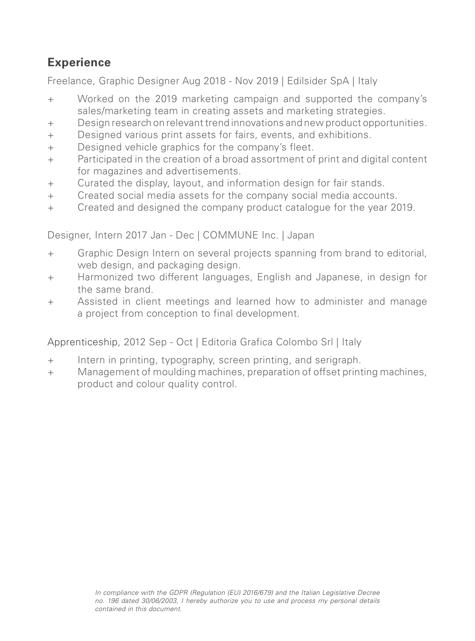# **Experience**

Freelance, Graphic Designer Aug 2018 - Nov 2019 | Edilsider SpA | Italy

- + Worked on the 2019 marketing campaign and supported the company's sales/marketing team in creating assets and marketing strategies.
- + Design research on relevant trend innovations and new product opportunities.
- + Designed various print assets for fairs, events, and exhibitions.
- + Designed vehicle graphics for the company's fleet.
- + Participated in the creation of a broad assortment of print and digital content for magazines and advertisements.
- + Curated the display, layout, and information design for fair stands.
- + Created social media assets for the company social media accounts.
- + Created and designed the company product catalogue for the year 2019.

Designer, Intern 2017 Jan - Dec | COMMUNE Inc. | Japan

- + Graphic Design Intern on several projects spanning from brand to editorial, web design, and packaging design.
- + Harmonized two different languages, English and Japanese, in design for the same brand.
- + Assisted in client meetings and learned how to administer and manage a project from conception to final development.

Apprenticeship, 2012 Sep - Oct | Editoria Grafica Colombo Srl | Italy

- + Intern in printing, typography, screen printing, and serigraph.
- + Management of moulding machines, preparation of offset printing machines, product and colour quality control.